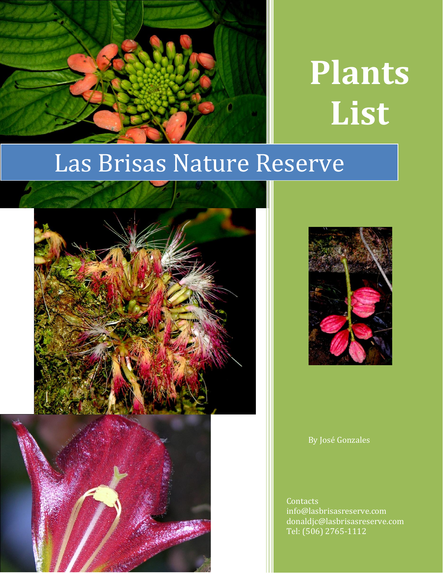

# **Plants List**

## Las Brisas Nature Reserve







By José Gonzales

**Contacts** info@lasbrisasreserve.com donaldjc@lasbrisasreserve.com Tel: (506) 2765-1112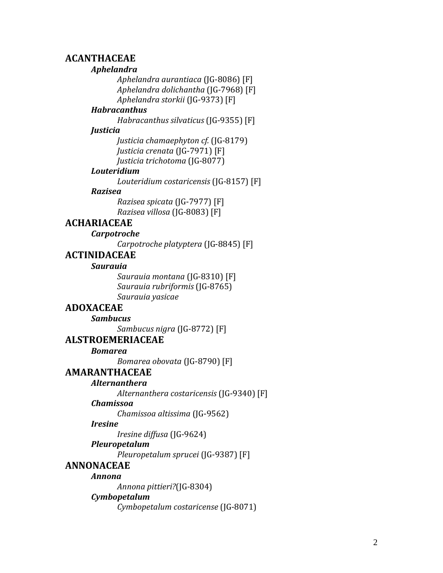## **ACANTHACEAE**

#### *Aphelandra*

*Aphelandra aurantiaca* (JG -8086) [F] *Aphelandra dolichantha* (JG -7968 ) [F] *Aphelandra storkii* (JG -9373) [F]

#### *Habracanthus*

*Habracanthus silvaticus* (JG -9355) [F]

#### *Justicia*

*Justicia chamaephyton cf.* (JG -8179) *Justicia crenata* (JG -7971) [F] *Justicia trichotoma* (JG -8077)

## *Louteridium*

*Louteridium costaricensis* (JG -8157) [F]

#### *Razisea*

*Razisea spicata* (JG -7977) [F] *Razisea villosa* (JG -8083) [F]

## **ACHARIACEAE**

#### *Carpotroche*

*Carpotroche platyptera* (JG -8845) [F]

## **ACTINIDACEAE**

#### *Saurauia*

*Saurauia montana* (JG -8310) [F] *Saurauia rubriformis* (JG -8765 ) *Saurauia yasicae*

## **ADOXACEAE**

*Sambucus Sambucus nigra* (JG -8772) [F]

#### **ALSTROEMERIACEAE**

*Bomarea* 

*Bomarea obovata* (JG -8790) [F]

## **AMARANTHACEAE**

#### *Alternanthera*

*Alternanthera costaricensis* (JG -9340) [F]

#### *Chamissoa*

*Chamissoa altissima* (JG -9562)

#### *Iresine*

*Iresine diffusa* (JG -9624)

#### *Pleuropetalum*

*Pleuropetalum sprucei* (JG -9387) [F]

## **ANNONACEAE**

#### *Annona*

*Annona pittieri?*(JG -8304)

## *Cymbopetalum*

*Cymbopetalum costaricense* (JG -8071)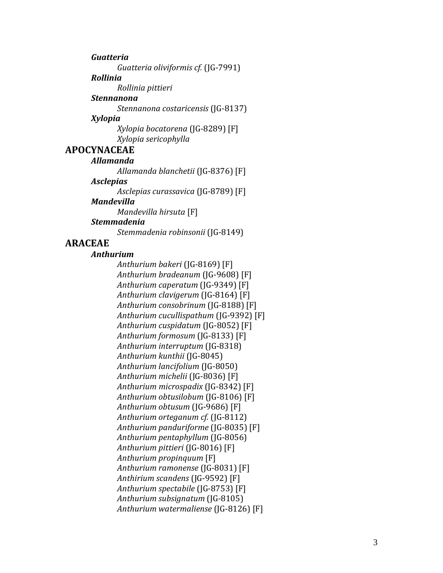*Guatteria*

*Guatteria oliviformis cf.* (JG -7991)

## *Rollinia*

*Rollinia pittieri*

## *Stennanona*

*Stennanona costaricensis* (JG -8137)

## *Xylopia*

*Xylopia bocatorena* (JG -8289) [F] *Xylopia sericophylla*

## **APOCYNACEAE**

## *Allamanda*

*Allamanda blanchetii* (JG -8376) [F]

## *Asclepias*

*Asclepias curassavica* (JG -8789) [F]

## *Mandevilla*

*Mandevilla hirsuta* [F]

## *Stemmadenia*

*Stemmadenia robinsonii* (JG -8149)

## **ARACEAE**

## *Anthurium*

*Anthurium bakeri* (JG -8169) [F] *Anthurium bradeanum* (JG -9608) [F] *Anthurium caperatum* (JG -9349) [F] *Anthurium clavigerum* (JG -8164) [F] *Anthurium consobrinum* (JG -8188) [F] *Anthurium cucullispathum* (JG -9392) [F] *Anthurium cuspidatum* (JG -8052) [F] *Anthurium formosum* (JG -8133) [F] *Anthurium interruptum* (JG -8318) *Anthurium kunthii* (JG -8045) *Anthurium lancifolium* (JG -8050) *Anthurium michelii* (JG -8036) [F] *Anthurium microspadix* (JG -8342) [F] *Anthurium obtusilobum* (JG -8106) [F] *Anthurium obtusum* (JG -9686) [F] *Anthurium orteganum cf.* (JG -8112 ) *Anthurium panduriforme* (JG -8035) [F] *Anthurium pentaphyllum* (JG -8056) *Anthurium pittieri* (JG -8016) [F] *Anthurium propinquum* [F] *Anthurium ramonense* (JG -8031) [F] *Anthirium scandens* (JG -9592) [F] *Anthurium spectabile* (JG -8753) [F] *Anthurium subsignatum* (JG -8105) *Anthurium watermaliense* (JG -8126) [F]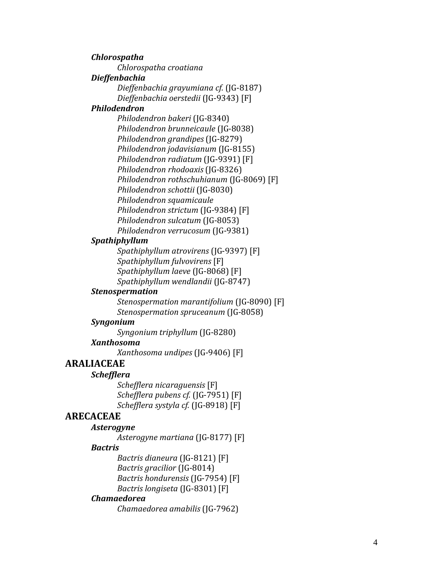*Chlorospatha Chlorospatha croatiana Dieffenbachia Dieffenbachia grayumiana cf.* (JG -8187) *Dieffenbachia oerstedii* (JG -9343) [F] *Philodendron Philodendron bakeri* (JG -8340) *Philodendron brunneicaule* (JG -8038) *Philodendron grandipes* (JG -8279) *Philodendron jodavisianum* (JG -8155) *Philodendron radiatum* (JG -9391) [F] *Philodendron rhodoaxis* (JG -8326) *Philodendron rothschuhianum* (JG -8069) [F] *Philodendron schottii* (JG -8030) *Philodendron squamicaule Philodendron strictum* (JG -9384) [F] *Philodendron sulcatum* (JG -8053) *Philodendron verrucosum* (JG -9381) *Spathiphyllum Spathiphyllum atrovirens* (JG -9397) [F] *Spathiphyllum fulvovirens* [F] *Spathiphyllum laeve* (JG -8068) [F] *Spathiphyllum wendlandii* (JG -8747) *Stenospermation*

> *Stenospermation marantifolium* (JG -8090) [F] *Stenospermation spruceanum* (JG -8058)

#### *Syngonium*

*Syngonium triphyllum* (JG -8280)

#### *Xanthosoma*

*Xanthosoma undipes* (JG -9406) [F]

## **ARALIACEAE**

*Schefflera*

*Schefflera nicaraguensis* [F] *Schefflera pubens cf.* (JG -7951) [F] *Schefflera systyla cf.* (JG -8918) [F]

## **ARECACEAE**

*Asterogyne* 

*Asterogyne martiana* (JG -8177) [F]

## *Bactris*

*Bactris dianeura* (JG -8121) [F] *Bactris gracilior* (JG -8014) *Bactris hondurensis* (JG -7954) [F] *Bactris longiseta* (JG -8301) [F]

#### *Chamaedorea*

*Chamaedorea amabilis* (JG -7962)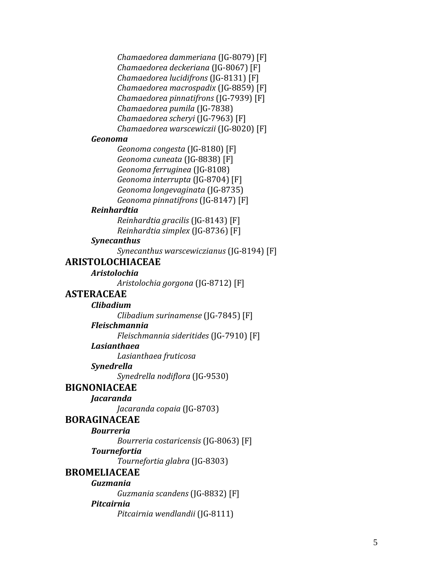*Chamaedorea dammeriana* (JG -8079) [F] *Chamaedorea deckeriana* (JG -8067) [F] *Chamaedorea lucidifrons* (JG -8131) [F] *Chamaedorea macrospadix* (JG -8859) [F] *Chamaedorea pinnatifrons* (JG -7939) [F] *Chamaedorea pumila* (JG -7838) *Chamaedorea scheryi* (JG -7963) [F] *Chamaedorea warscewiczii* (JG -8020) [F]

#### *Geonoma*

*Geonoma congesta* (JG -8180) [F] *Geonoma cuneata* (JG -8838) [F] *Geonoma ferruginea* (JG -8108) *Geonoma interrupta* (JG -8704) [F] *Geonoma longevaginata* (JG -8735) *Geonoma pinnatifrons* (JG -8147) [F]

#### *Reinhardtia*

*Reinhardtia gracilis* (JG -8143) [F] *Reinhardtia simplex* (JG -8736) [F]

#### *Synecanthus*

*Synecanthus warscewiczianus* (JG -8194) [F]

## **ARISTOLOCHIACEAE**

#### *Aristolochia*

*Aristolochia gorgona* (JG -8712) [F]

## **ASTERACEAE**

#### *Clibadium*

*Clibadium surinamense* (JG -7845) [F]

#### *Fleischmannia*

*Fleischmannia sideritides* (JG -7910) [F]

#### *Lasianthaea*

*Lasianthaea fruticosa*

#### *Synedrella*

*Synedrella nodiflora* (JG -9530)

## **BIGNONIACEAE**

#### *Jacaranda*

*Jacaranda copaia* (JG -8703)

## **BORAGINACEAE**

#### *Bourreria*

*Bourreria costaricensis* (JG -8063) [F]

#### *Tournefortia*

*Tournefortia glabra* (JG -8303)

## **BROMELIACEAE**

## *Guzmania*

*Guzmania scandens* (JG -8832) [F]

#### *Pitcairnia*

*Pitcairnia wendlandii* (JG -8111)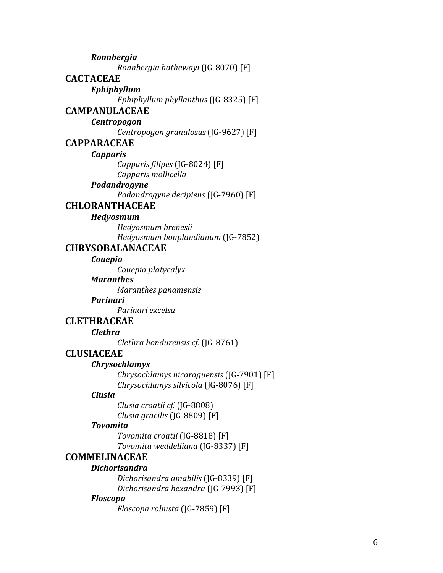*Ronnbergia Ronnbergia hathewayi* (JG -8070) [F] **CACTACEAE** *Ephiphyllum Ephiphyllum phyllanthus* (JG -8325) [F] **CAMPANULACEAE** *Centropogon Centropogon granulosus* (JG -9627) [F] **CAPPARACEAE** *Capparis Capparis filipes* (JG -8024) [F] *Capparis mollicella Podandrogyne Podandrogyne decipiens* (JG -7960) [F] **CHLORANTHACEAE** *Hedyosmum Hedyosmum brenesii Hedyosmum bonplandianum* (JG -7852) **CHRYSOBALANACEAE** *Couepia Couepia platycalyx Maranthes Maranthes panamensis Parinari Parinari excelsa* **CLETHRACEAE**  *Clethra Clethra hondurensis cf.* (JG -8761) **CLUSIACEAE** *Chrysochlamys Chrysochlamys nicaraguensis* (JG -7901) [F] *Chrysochlamys silvicola* (JG -8076) [F] *Clusia Clusia croatii cf.* (JG -8808) *Clusia gracilis* (JG -8809) [F] *Tovomita Tovomita croatii* (JG -8818) [F] *Tovomita weddelliana* (JG -8337) [F] **COMMELINACEAE** *Dichorisandra Dichorisandra amabilis* (JG -8339) [F] *Dichorisandra hexandra* (JG -7993) [F] *Floscopa*

*Floscopa robusta* (JG -7859) [F]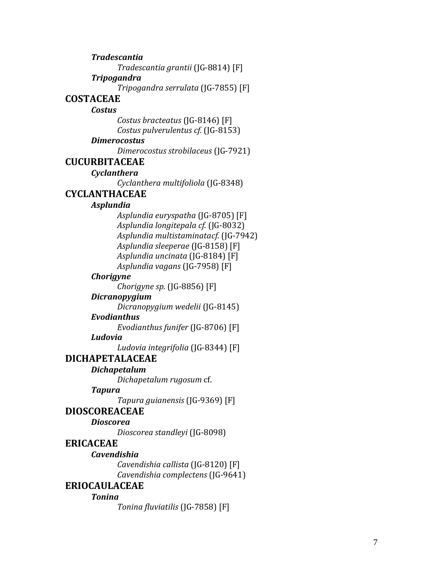*Tradescantia grantii* (JG -8814) [F] *Tripogandra Tripogandra serrulata* (JG -7855) [F] **COSTACEAE** *Costus Costus bracteatus* (JG -8146) [F] *Costus pulverulentus cf.* (JG -8153) *Dimerocostus Dimerocostus strobilaceus* (JG -7921) **CUCURBITACEAE** *Cyclanthera Cyclanthera multifoliola* (JG -8348) **CYCLANTHACEAE** *Asplundia Asplundia euryspatha* (JG -8705) [F] *Asplundia longitepala cf.* (JG -8032) *Asplundia multistaminatacf.* (JG -7942) *Asplundia sleeperae* (JG -8158) [F] *Asplundia uncinata* (JG -8184) [F] *Asplundia vagans* (JG -7958) [F] *Chorigyne Chorigyne sp.* (JG -8856) [F] *Dicranopygium Dicranopygium wedelii* (JG -8145) *Evodianthus Evodianthus funifer* (JG -8706) [F] *Ludovia Ludovia integrifolia* (JG -8344) [F] **DICHAPETALACEAE** *Dichapetalum Dichapetalum rugosum* cf. *Tapura Tapura guianensis* (JG -9369) [F] **DIOSCOREACEAE** *Dioscorea Dioscorea standleyi* (JG -8098) **ERICACEAE** *Cavendishia Cavendishia callista* (JG -8120) [F] *Cavendishia complectens* (JG -9641) **ERIOCAULACEAE**  *Tonina Tonina fluviatilis* (JG -7858) [F]

*Tradescantia*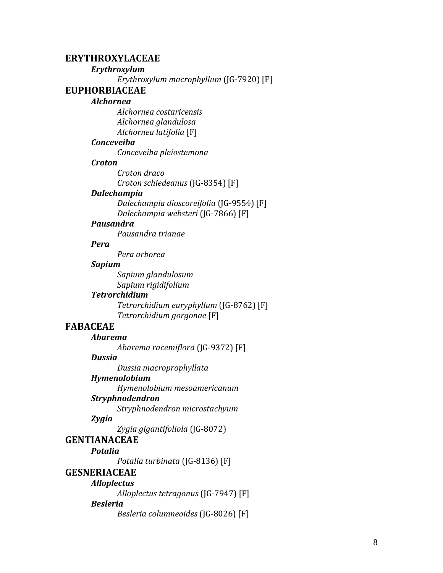## **ERYTHROXYLACEAE**

## *Erythroxylum*

*Erythroxylum macrophyllum* (JG -7920) [F]

#### **EUPHORBIACEAE**

#### *Alchornea*

*Alchornea costaricensis Alchornea glandulosa Alchornea latifolia* [F]

## *Conceveiba*

*Conceveiba pleiostemona*

#### *Croton*

*Croton draco Croton schiedeanus* (JG -8354) [F]

#### *Dalechampia*

*Dalechampia dioscoreifolia* (JG -9554) [F] *Dalechampia websteri* (JG -7866) [F]

#### *Pausandra*

*Pausandra trianae*

## *Pera*

*Pera arborea*

#### *Sapium*

*Sapium glandulosum Sapium rigidifolium*

#### *Tetrorchidium*

*Tetrorchidium euryphyllum* (JG -8762) [F] *Tetrorchidium gorgonae* [F]

## **FABACEAE**

## *Abarema*

*Abarema racemiflora* (JG -9372) [F]

#### *Dussia*

*Dussia macroprophyllata*

## *Hymenolobium*

*Hymenolobium mesoamericanum*

## *Stryphnodendron*

*Stryphnodendron microstachyum*

#### *Zygia*

*Zygia gigantifoliola* (JG -8072)

## **GENTIANACEAE**

*Potalia Potalia turbinata* (JG -8136) [F]

#### **GESNERIACEAE**

## *Alloplectus*

*Alloplectus tetragonus* (JG -7947) [F]

#### *Besleria*

*Besleria columneoides* (JG -8026) [F]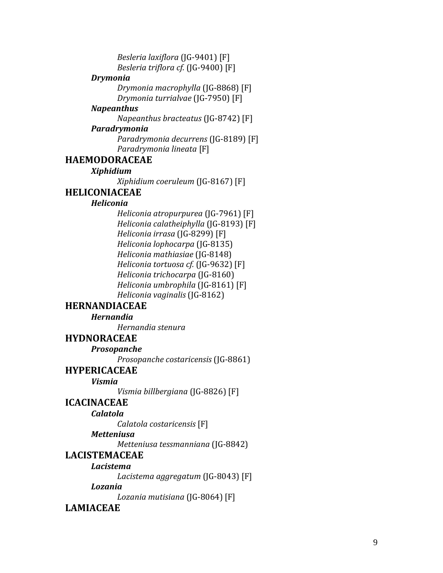*Besleria laxiflora* (JG -9401) [F] *Besleria triflora cf.* (JG -9400) [F]

#### *Drymonia*

*Drymonia macrophylla* (JG -8868) [F] *Drymonia turrialvae* (JG -7950) [F]

#### *Napeanthus*

*Napeanthus bracteatus* (JG -8742) [F]

## *Paradrymonia*

*Paradrymonia decurrens* (JG -8189) [F] *Paradrymonia lineata* [F]

## **HAEMODORACEAE**

## *Xiphidium*

*Xiphidium coeruleum* (JG -8167) [F]

## **HELICONIACEAE**

## *Heliconia*

*Heliconia atropurpurea* (JG -7961) [F] *Heliconia calatheiphylla* (JG -8193) [F] *Heliconia irrasa* (JG -8299) [F] *Heliconia lophocarpa* (JG -8135) *Heliconia mathiasiae* (JG -8148) *Heliconia tortuosa cf.* (JG -9632) [F] *Heliconia trichocarpa* (JG -8160) *Heliconia umbrophila* (JG -8161) [F] *Heliconia vaginalis* (JG -8162)

## **HERNANDIACEAE**

#### *Hernandia*

*Hernandia stenura*

## **HYDNORACEAE**

*Prosopanche* 

*Prosopanche costaricensis* (JG -8861)

## **HYPERICACEAE**

## *Vismia*

*Vismia billbergiana* (JG -8826) [F]

## **ICACINACEAE**

*Calatola* 

*Calatola costaricensis* [F]

## *Metteniusa*

*Metteniusa tessmanniana* (JG -8842)

## **LACISTEMACEAE**

## *Lacistema*

*Lacistema aggregatum* (JG -8043) [F]

#### *Lozania*

*Lozania mutisiana* (JG -8064) [F]

## **LAMIACEAE**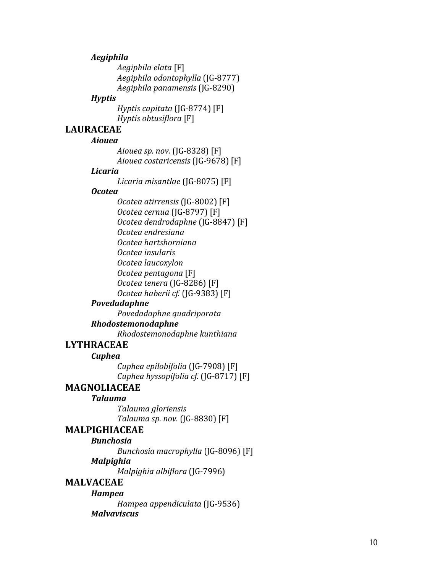## *Aegiphila*

*Aegiphila elata* [F] *Aegiphila odontophylla* (JG -8777) *Aegiphila panamensis* (JG -8290)

#### *Hyptis*

*Hyptis capitata* (JG -8774) [F] *Hyptis obtusiflora* [F]

## **LAURACEAE**

#### *Aiouea*

*Aiouea sp. nov.* (JG -8328) [F] *Aiouea costaricensis*  (JG -9678) [F]

#### *Licaria*

*Licaria misantlae* (JG -8075) [F]

#### *Ocotea*

*Ocotea atirrensis* (JG -8002) [F] *Ocotea cernua* (JG -8797) [F] *Ocotea dendrodaphne* (JG -8847) [F] *Ocotea endresiana Ocotea hartshorniana Ocotea insularis Ocotea laucoxylon Ocotea pentagona* [F] *Ocotea tenera* (JG -8286) [F] *Ocotea haberii cf.* (JG -9383) [F]

## *Povedadaphne*

*Povedadaphne quadriporata*

## *Rhodostemonodaphne*

*Rhodostemonodaphne kunthiana*

## **LYTHRACEAE**

#### *Cuphea*

*Cuphea epilobifolia* (JG -7908 ) [F] *Cuphea hyssopifolia cf.* (JG -8717) [F]

## **MAGNOLIACEAE**

## *Talauma*

*Talauma gloriensis Talauma sp. nov.* (JG -8830) [F]

## **MALPIGHIACEAE**

#### *Bunchosia*

*Bunchosia macrophylla* (JG -8096) [F] *Malpighia* 

*Malpighia albiflora* (JG -7996)

## **MALVACEAE**

*Hampea Hampea appendiculata* (JG -9536 ) *Malvaviscus*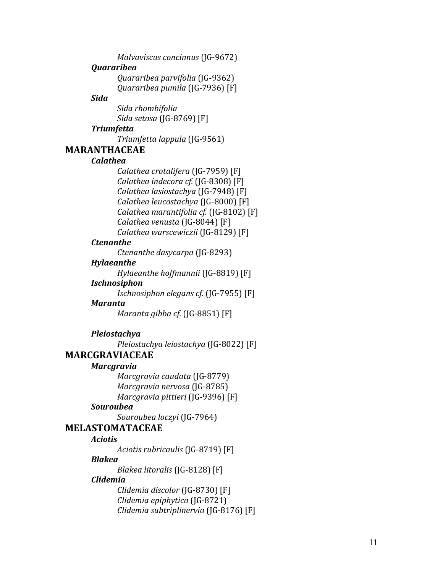*Malvaviscus concinnus* (JG -9672) *Quararibea Quararibea parvifolia* (JG -9362) *Quararibea pumila* (JG -7936) [F] *Sida Sida rhombifolia Sida setosa* (JG -8769) [F] *Triumfetta Triumfetta lappula* (JG -9561) **MARANTHACEAE** *Calathea Calathea crotalifera* (JG -7959) [F] *Calathea indecora cf.* (JG -8308) [F] *Calathea lasiostachya* (JG -7948) [F] *Calathea leucostachya* (JG -8000) [F] *Calathea marantifolia cf.* (JG -8102) [F] *Calathea venusta* (JG -8044) [F] *Calathea warscewiczii* (JG -8129) [F] *Ctenanthe Ctenanthe dasycarpa* (JG -8293) *Hylaeanthe Hylaeanthe hoffmannii* (JG -8819) [F] *Ischnosiphon Ischnosiphon elegans cf.* (JG -7955) [F] *Maranta Maranta gibba cf.* (JG -8851) [F] *Pleiostachya Pleiostachya leiostachya* (JG -8022) [F] **MARCGRAVIACEAE**  *Marcgravia Marcgravia caudata* (JG -8779) *Marcgravia nervosa* (JG -8785) *Marcgravia pittieri* (JG -9396) [F] *Souroubea Souroubea loczyi* (JG -7964) **MELASTOMATACEAE** *Aciotis Aciotis rubricaulis* (JG -8719) [F] *Blakea Blakea litoralis* (JG -8128) [F] *Clidemia Clidemia discolor* (JG -8730) [F] *Clidemia epiphytica* (JG -8721)

*Clidemia subtriplinervia* (JG -8176) [F]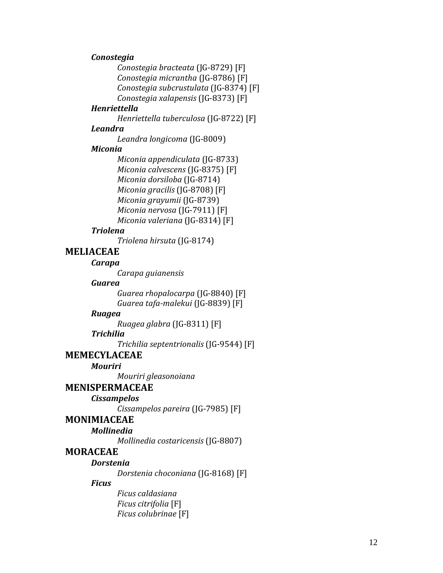#### *Conostegia*

*Conostegia bracteata* (JG -8729) [F] *Conostegia micrantha* (JG -8786) [F] *Conostegia subcrustulata* (JG -8374) [F] *Conostegia xalapensis* (JG -8373) [F]

#### *Henriettella*

*Henriettella tuberculosa* (JG -8722) [F]

#### *Leandra*

*Leandra longicoma* (JG -8009)

#### *Miconia*

*Miconia appendiculata* (JG -8733) *Miconia calvescens* (JG -8375) [F] *Miconia dorsiloba* (JG -8714) *Miconia gracilis* (JG -8708) [F] *Miconia grayumii* (JG -8739) *Miconia nervosa* (JG -7911) [F] *Miconia valeriana* (JG -8314) [F]

#### *Triolena*

*Triolena hirsuta* (JG -8174)

## **MELIACEAE**

## *Carapa*

*Carapa guianensis*

## *Guarea*

*Guarea rhopalocarpa* (JG -8840) [F] *Guarea tafa -maleku i* (JG -8839) [F]

#### *Ruagea*

*Ruagea glabra* (JG -8311) [F]

## *Trichilia*

*Trichilia septentrionalis* (JG -9544) [F]

## **MEMECYLACEAE**

*Mouriri*

*Mouriri gleasonoiana*

## **MENISPERMACEAE**

#### *Cissampelos*

*Cissampelos pareira* (JG -7985) [F]

## **MONIMIACEAE**

## *Mollinedia*

*Mollinedia costaricensis* (JG -8807)

## **MORACEAE**

*Dorstenia* 

*Dorstenia choconiana* (JG -8168) [F]

#### *Ficus*

*Ficus caldasiana Ficus citrifolia* [F] *Ficus colubrinae* [F]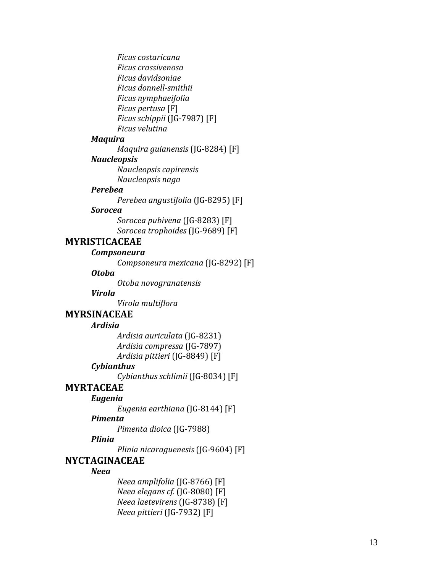*Ficus costaricana Ficus crassivenosa Ficus davidsoniae Ficus donnell -smithii Ficus nymphaeifolia Ficus pertusa* [F] *Ficus schippii* (JG -7987) [F] *Ficus velutina*

#### *Maquira*

*Maquira guianensis* (JG -8284) [F]

#### *Naucleopsis*

*Naucleopsis capirensis Naucleopsis naga*

#### *Perebea*

*Perebea angustifolia* (JG -8295) [F]

## *Sorocea*

*Sorocea pubivena* (JG -8283) [F] *Sorocea trophoides* (JG -9689) [F]

## **MYRISTICACEAE**

#### *Compsoneura*

*Compsoneura mexicana* (JG -8292) [F]

## *Otoba*

*Otoba novogranatensis*

#### *Virola*

*Virola multiflora*

## **MYRSINACEAE**

#### *Ardisia*

*Ardisia auriculata* (JG -8231) *Ardisia compressa* (JG -7897) *Ardisia pittieri* (JG -8849) [F]

#### *Cybianthus*

*Cybianthus schlimii* (JG -8034) [F]

## **MYRTACEAE**

#### *Eugenia*

*Eugenia earthiana* (JG -8144) [F]

## *Pimenta*

*Pimenta dioica* (JG -7988)

## *Plinia*

*Plinia nicaraguenesis* (JG -9604) [F]

#### **NYCTAGINACEAE**

#### *Neea*

*Neea amplifolia* (JG -8766) [F] *Neea elegans cf.* (JG -8080) [F] *Neea laetevirens* (JG -8738) [F] *Neea pittieri* (JG -7932) [F]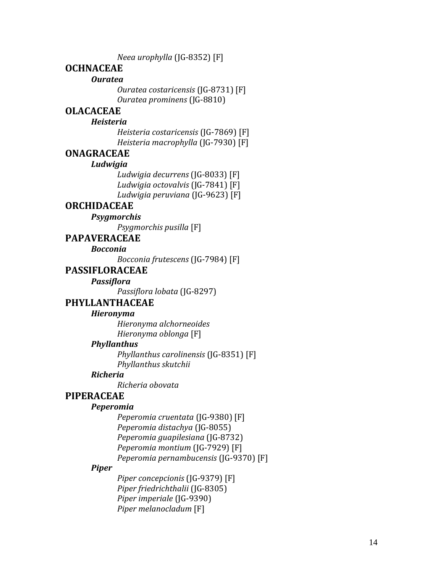*Neea urophylla* (JG -8352) [F]

## **OCHNACEAE**

#### *Ouratea*

*Ouratea costaricensis* (JG -8731) [F] *Ouratea prominens* (JG -8810)

## **OLACACEAE**

#### *Heisteria*

*Heisteria costaricensis* (JG -7869) [F] *Heisteria macrophylla* (JG -7930) [F]

#### **ONAGRACEAE**

#### *Ludwigia*

*Ludwigia decurrens* (JG -8033) [F] *Ludwigia octovalvis* (JG -7841) [F] *Ludwigia peruviana* (JG -9623) [F]

## **ORCHIDACEAE**

#### *Psygmorchis*

*Psygmorchis pusilla* [F]

**PAPAVERACEAE**

#### *Bocconia*

*Bocconia frutescens* (JG -7984) [F]

## **PASSIFLORACEAE**

*Passiflora* 

*Passiflora lobata* (JG -8297)

## **PHYLLANTHACEAE**

#### *Hieronyma*

*Hieronyma alchorneoides Hieronyma oblonga* [F]

#### *Phyllanthus*

*Phyllanthus carolinensis* (JG -8351) [F] *Phyllanthus skutchii*

## *Richeria*

*Richeria obovata*

## **PIPERACEAE**

#### *Peperomia*

*Peperomia cruentata* (JG -9380) [F] *Peperomia distachya* (JG -8055) *Peperomia guapilesiana* (JG -8732) *Peperomia montium* (JG -7929) [F] *Peperomia pernambucensis* (JG -9370) [F]

#### *Piper*

*Piper concepcionis* (JG -9379) [F] *Piper friedrichthalii* (JG -8305) *Piper imperiale* (JG -9390) *Piper melanocladum* [F]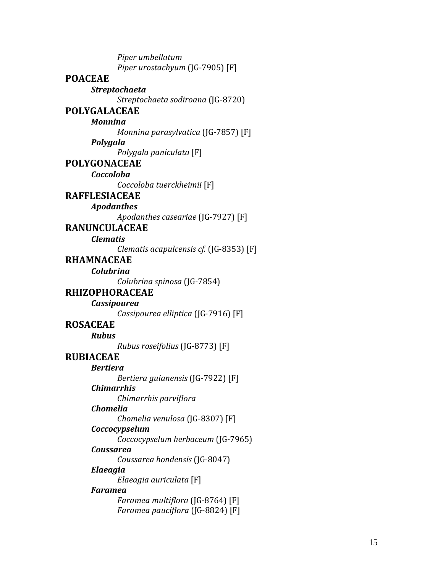*Piper umbellatum Piper urostachyum* (JG -7905) [F] **POACEAE** *Streptochaeta Streptochaeta sodiroana* (JG -8720) **POLYGALACEAE** *Monnina Monnina parasylvatica* (JG -7857) [F] *Polygala Polygala paniculata* [F] **POLYGONACEAE** *Coccoloba Coccoloba tuerckheimii* [F] **RAFFLESIACEAE**  *Apodanthes Apodanthes caseariae* (JG -7927) [F] **RANUNCULACEAE** *Clematis Clematis acapulcensis cf.* (JG -8353) [F] **RHAMNACEAE** *Colubrina Colubrina spinosa* (JG -7854) **RHIZOPHORACEAE**  *Cassipourea Cassipourea elliptica* (JG -7916) [F] **ROSACEAE** *Rubus Rubus roseifolius* (JG -8773) [F] **RUBIACEAE** *Bertiera Bertiera guianensis* (JG -7922) [F] *Chimarrhis Chimarrhis parviflora Chomelia Chomelia venulosa* (JG -8307) [F] *Coccocypselum Coccocypselum herbaceum* (JG -7965) *Coussarea Coussarea hondensis* (JG -8047) *Elaeagia Elaeagia auriculata* [F] *Faramea Faramea multiflora* (JG -8764) [F] *Faramea pauciflora* (JG -8824) [F]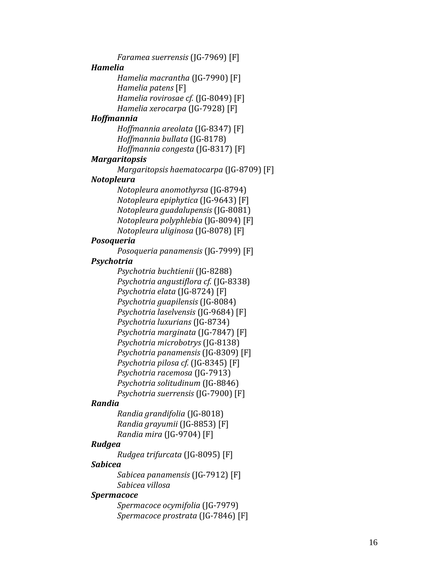*Faramea suerrensis* (JG -7969) [F] *Hamelia Hamelia macrantha* (JG -7990) [F] *Hamelia patens* [F] *Hamelia rovirosae cf.* (JG -8049) [F] *Hamelia xerocarpa* (JG -7928) [F] *Hoffmannia Hoffmannia areolata* (JG -8347) [F] *Hoffmannia bullata* (JG -8178) *Hoffmannia congesta* (JG -8317) [F] *Margaritopsis Margaritopsis haematocarpa* (JG -8709) [F] *Notopleura Notopleura anomothyrsa* (JG -8794) *Notopleura epiphytica* (JG -9643) [F] *Notopleura guadalupensis* (JG -8081) *Notopleura polyphlebia* (JG -8094) [F] *Notopleura uliginosa* (JG -8078) [F] *Posoqueria Posoqueria panamensis* (JG -7999) [F] *Psyc hotria Psyc hotria buchtienii* (JG -8288) *Psychotria angustiflora cf.* (JG -8338) *Psychotria elata* (JG -8724) [F] *Psychotria guapilensis* (JG -8084) *Psychotria laselvensis* (JG -9684) [F] *Psychotria luxurians* (JG -8734) *Psychotria marginata* (JG -7847) [F] *Psychotria microbotrys* (JG -8138) *Psychotria panamensis* (JG -8309) [F] *Psychotria pilosa cf.* (JG -8345) [F] *Psychotria racemosa* (JG -7913) *Psychotria solitudinum* (JG -8846) *Psychotria suerrensis* (JG -7900) [F] *Randia Randia grandifolia* (JG -8018) *Randia grayumii* (JG -8853) [F] *Randia mira* (JG -9704) [F] *Rudgea Rudgea trifurcata* (JG -8095) [F] *Sabicea Sabicea panamensis* (JG -7912) [F] *Sabicea villosa Spermacoce Spermacoce ocymifolia* (JG -7979) *Spermacoce prostrata* (JG -7846) [F]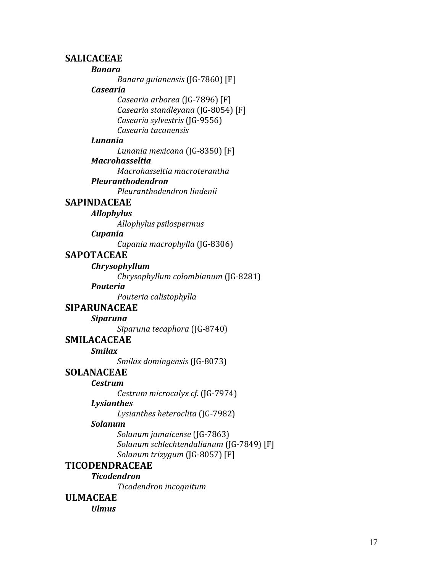## **SALICACEAE**

## *Banara*

*Banara guianensis* (JG-7860) [F]

## *Casearia*

*Casearia arborea* (JG-7896) [F] *Casearia standleyana* (JG-8054) [F] *Casearia sylvestris* (JG-9556) *Casearia tacanensis*

## *Lunania*

*Lunania mexicana* (JG-8350) [F]

## *Macrohasseltia*

*Macrohasseltia macroterantha*

## *Pleuranthodendron*

*Pleuranthodendron lindenii*

## **SAPINDACEAE**

*Allophylus*

*Allophylus psilospermus*

*Cupania* 

*Cupania macrophylla* (JG-8306)

## **SAPOTACEAE**

## *Chrysophyllum*

*Chrysophyllum colombianum* (JG-8281)

## *Pouteria*

*Pouteria calistophylla*

## **SIPARUNACEAE**

*Siparuna* 

*Siparuna tecaphora* (JG-8740)

## **SMILACACEAE**

*Smilax* 

*Smilax domingensis* (JG-8073)

## **SOLANACEAE**

## *Cestrum*

*Cestrum microcalyx cf.* (JG-7974)

## *Lysianthes*

*Lysianthes heteroclita* (JG-7982)

## *Solanum*

*Solanum jamaicense* (JG-7863) *Solanum schlechtendalianum* (JG-7849) [F] *Solanum trizygum* (JG-8057) [F]

## **TICODENDRACEAE**

*Ticodendron* 

*Ticodendron incognitum*

## **ULMACEAE**

*Ulmus*